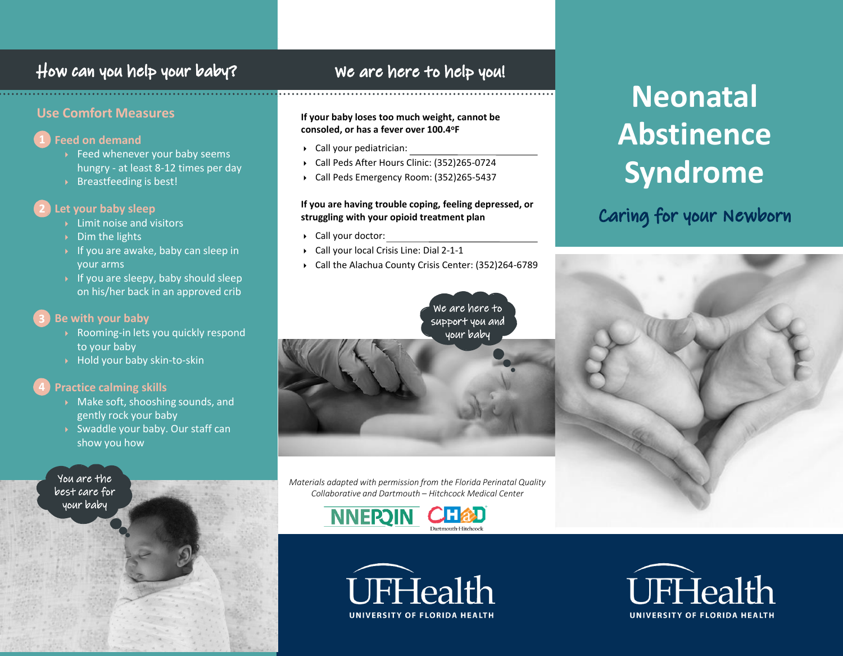## How can you help your baby?

## **Use Comfort Measures**

#### **Feed on demand**

- Feed whenever your baby seems hungry - at least 8-12 times per day
- $\triangleright$  Breastfeeding is best!

## **Let your baby sleep**

- **Limit noise and visitors**
- Dim the lights
- If you are awake, baby can sleep in your arms
- If you are sleepy, baby should sleep on his/her back in an approved crib

## **Be with your baby**

- ▶ Rooming-in lets you quickly respond to your baby
- ▶ Hold your baby skin-to-skin

## **Practice calming skills**

- $\blacktriangleright$  Make soft, shooshing sounds, and gently rock your baby
- ▶ Swaddle your baby. Our staff can show you how

#### You are the best care for your baby

## We are here to help you!

#### **If your baby loses too much weight, cannot be consoled, or has a fever over 100.4<sup>o</sup>F**

- Call your pediatrician:
- Call Peds After Hours Clinic: (352)265-0724
- Call Peds Emergency Room: (352)265-5437

#### **If you are having trouble coping, feeling depressed, or struggling with your opioid treatment plan**

- ▶ Call your doctor:
- Call your local Crisis Line: Dial 2-1-1
- Call the Alachua County Crisis Center: (352)264-6789





*Materials adapted with permission from the Florida Perinatal Quality Collaborative and Dartmouth – Hitchcock Medical Center*





# **Neonatal Abstinence Syndrome**

Caring for your Newborn